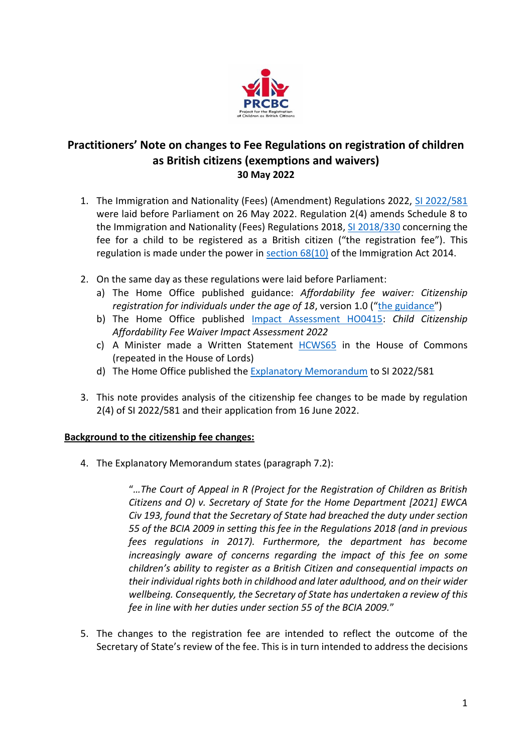

# **Practitioners' Note on changes to Fee Regulations on registration of children as British citizens (exemptions and waivers) 30 May 2022**

- 1. The Immigration and Nationality (Fees) (Amendment) Regulations 2022, [SI 2022/581](https://www.legislation.gov.uk/uksi/2022/581/contents/made) were laid before Parliament on 26 May 2022. Regulation 2(4) amends Schedule 8 to the Immigration and Nationality (Fees) Regulations 2018, [SI 2018/330](https://www.legislation.gov.uk/uksi/2018/330/contents) concerning the fee for a child to be registered as a British citizen ("the registration fee"). This regulation is made under the power in [section 68\(10\)](https://www.legislation.gov.uk/ukpga/2014/22/section/68) of the Immigration Act 2014.
- 2. On the same day as these regulations were laid before Parliament:
	- a) The Home Office published guidance: *Affordability fee waiver: Citizenship registration for individuals under the age of 18*, version 1.0 ("[the guidance](https://www.gov.uk/government/publications/citizenship-fee-waiver-for-individuals-under-18-caseworker-guidance)")
	- b) The Home Office published [Impact Assessment HO0415:](https://www.legislation.gov.uk/ukia/2022/47/pdfs/ukia_20220047_en.pdf) *Child Citizenship Affordability Fee Waiver Impact Assessment 2022*
	- c) A Minister made a Written Statement [HCWS65](https://questions-statements.parliament.uk/written-statements/detail/2022-05-26/hcws65) in the House of Commons (repeated in the House of Lords)
	- d) The Home Office published the [Explanatory Memorandum](https://www.legislation.gov.uk/uksi/2022/581/pdfs/uksiem_20220581_en.pdf) to SI 2022/581
- 3. This note provides analysis of the citizenship fee changes to be made by regulation 2(4) of SI 2022/581 and their application from 16 June 2022.

#### **Background to the citizenship fee changes:**

4. The Explanatory Memorandum states (paragraph 7.2):

"*…The Court of Appeal in R (Project for the Registration of Children as British Citizens and O) v. Secretary of State for the Home Department [2021] EWCA Civ 193, found that the Secretary of State had breached the duty under section 55 of the BCIA 2009 in setting this fee in the Regulations 2018 (and in previous fees regulations in 2017). Furthermore, the department has become increasingly aware of concerns regarding the impact of this fee on some children's ability to register as a British Citizen and consequential impacts on their individual rights both in childhood and later adulthood, and on their wider wellbeing. Consequently, the Secretary of State has undertaken a review of this fee in line with her duties under section 55 of the BCIA 2009.*"

5. The changes to the registration fee are intended to reflect the outcome of the Secretary of State's review of the fee. This is in turn intended to address the decisions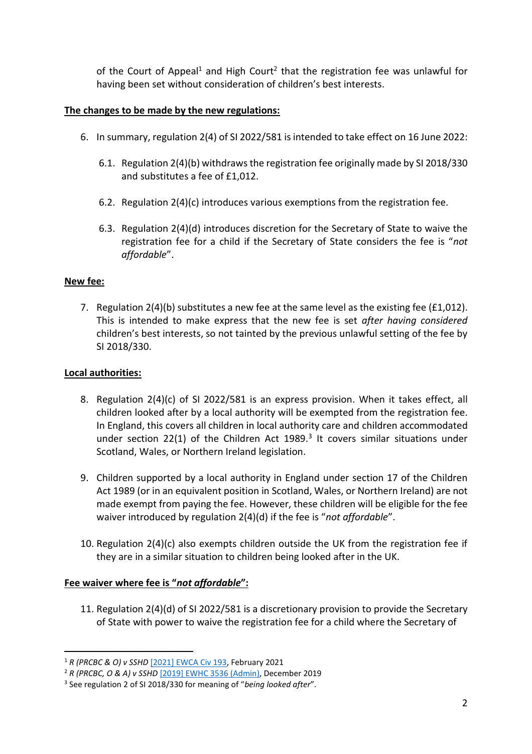of the Court of Appeal<sup>1</sup> and High Court<sup>2</sup> that the registration fee was unlawful for having been set without consideration of children's best interests.

#### **The changes to be made by the new regulations:**

- 6. In summary, regulation 2(4) of SI 2022/581 is intended to take effect on 16 June 2022:
	- 6.1. Regulation 2(4)(b) withdrawsthe registration fee originally made by SI 2018/330 and substitutes a fee of £1,012.
	- 6.2. Regulation 2(4)(c) introduces various exemptions from the registration fee.
	- 6.3. Regulation 2(4)(d) introduces discretion for the Secretary of State to waive the registration fee for a child if the Secretary of State considers the fee is "*not affordable*".

## **New fee:**

7. Regulation  $2(4)(b)$  substitutes a new fee at the same level as the existing fee (£1,012). This is intended to make express that the new fee is set *after having considered* children's best interests, so not tainted by the previous unlawful setting of the fee by SI 2018/330.

### **Local authorities:**

- 8. Regulation 2(4)(c) of SI 2022/581 is an express provision. When it takes effect, all children looked after by a local authority will be exempted from the registration fee. In England, this covers all children in local authority care and children accommodated under section 22(1) of the Children Act 1989. $3$  It covers similar situations under Scotland, Wales, or Northern Ireland legislation.
- 9. Children supported by a local authority in England under section 17 of the Children Act 1989 (or in an equivalent position in Scotland, Wales, or Northern Ireland) are not made exempt from paying the fee. However, these children will be eligible for the fee waiver introduced by regulation 2(4)(d) if the fee is "*not affordable*".
- 10. Regulation 2(4)(c) also exempts children outside the UK from the registration fee if they are in a similar situation to children being looked after in the UK.

## **Fee waiver where fee is "***not affordable***":**

11. Regulation 2(4)(d) of SI 2022/581 is a discretionary provision to provide the Secretary of State with power to waive the registration fee for a child where the Secretary of

<sup>1</sup> *R (PRCBC & O) v SSHD* [\[2021\] EWCA Civ 193,](https://www.judiciary.uk/wp-content/uploads/2021/02/R-PRCBC-v-SSHD-Judgment.pdf) February 2021

<sup>2</sup> *R (PRCBC, O & A) v SSHD* [\[2019\] EWHC 3536 \(Admin\),](https://www.judiciary.uk/wp-content/uploads/2019/12/prcb-v-sshd.pdf) December 2019

<sup>3</sup> See regulation 2 of SI 2018/330 for meaning of "*being looked after*".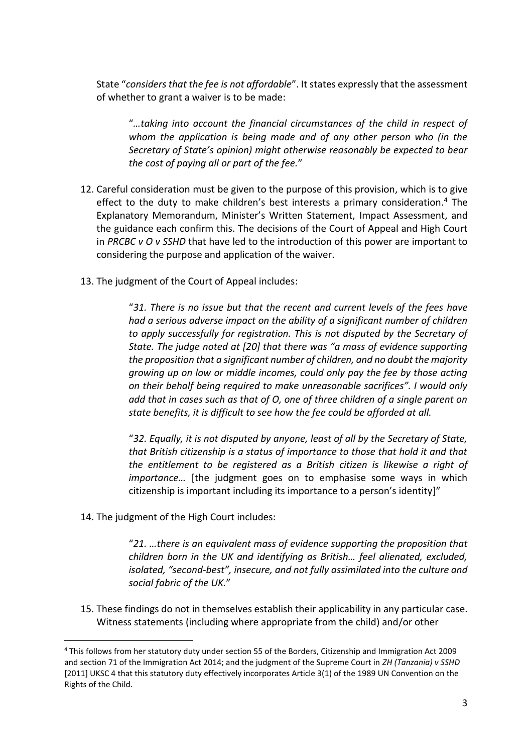State "*considers that the fee is not affordable*". It states expressly that the assessment of whether to grant a waiver is to be made:

"*…taking into account the financial circumstances of the child in respect of whom the application is being made and of any other person who (in the Secretary of State's opinion) might otherwise reasonably be expected to bear the cost of paying all or part of the fee.*"

- 12. Careful consideration must be given to the purpose of this provision, which is to give effect to the duty to make children's best interests a primary consideration.<sup>4</sup> The Explanatory Memorandum, Minister's Written Statement, Impact Assessment, and the guidance each confirm this. The decisions of the Court of Appeal and High Court in *PRCBC v O v SSHD* that have led to the introduction of this power are important to considering the purpose and application of the waiver.
- 13. The judgment of the Court of Appeal includes:

"*31. There is no issue but that the recent and current levels of the fees have had a serious adverse impact on the ability of a significant number of children to apply successfully for registration. This is not disputed by the Secretary of State. The judge noted at [20] that there was "a mass of evidence supporting the proposition that a significant number of children, and no doubt the majority growing up on low or middle incomes, could only pay the fee by those acting on their behalf being required to make unreasonable sacrifices". I would only add that in cases such as that of O, one of three children of a single parent on state benefits, it is difficult to see how the fee could be afforded at all.*

"*32. Equally, it is not disputed by anyone, least of all by the Secretary of State, that British citizenship is a status of importance to those that hold it and that the entitlement to be registered as a British citizen is likewise a right of importance…* [the judgment goes on to emphasise some ways in which citizenship is important including its importance to a person's identity]"

14. The judgment of the High Court includes:

"*21. …there is an equivalent mass of evidence supporting the proposition that children born in the UK and identifying as British… feel alienated, excluded, isolated, "second-best", insecure, and not fully assimilated into the culture and social fabric of the UK.*"

15. These findings do not in themselves establish their applicability in any particular case. Witness statements (including where appropriate from the child) and/or other

<sup>4</sup> This follows from her statutory duty under section 55 of the Borders, Citizenship and Immigration Act 2009 and section 71 of the Immigration Act 2014; and the judgment of the Supreme Court in *ZH (Tanzania) v SSHD*  [2011] UKSC 4 that this statutory duty effectively incorporates Article 3(1) of the 1989 UN Convention on the Rights of the Child.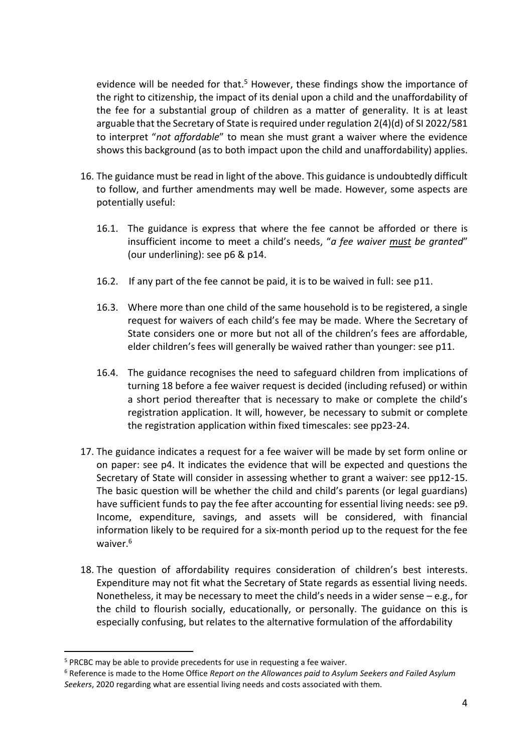evidence will be needed for that.<sup>5</sup> However, these findings show the importance of the right to citizenship, the impact of its denial upon a child and the unaffordability of the fee for a substantial group of children as a matter of generality. It is at least arguable that the Secretary of State is required under regulation 2(4)(d) of SI 2022/581 to interpret "*not affordable*" to mean she must grant a waiver where the evidence shows this background (as to both impact upon the child and unaffordability) applies.

- 16. The guidance must be read in light of the above. This guidance is undoubtedly difficult to follow, and further amendments may well be made. However, some aspects are potentially useful:
	- 16.1. The guidance is express that where the fee cannot be afforded or there is insufficient income to meet a child's needs, "*a fee waiver must be granted*" (our underlining): see p6 & p14.
	- 16.2. If any part of the fee cannot be paid, it is to be waived in full: see p11.
	- 16.3. Where more than one child of the same household is to be registered, a single request for waivers of each child's fee may be made. Where the Secretary of State considers one or more but not all of the children's fees are affordable, elder children's fees will generally be waived rather than younger: see p11.
	- 16.4. The guidance recognises the need to safeguard children from implications of turning 18 before a fee waiver request is decided (including refused) or within a short period thereafter that is necessary to make or complete the child's registration application. It will, however, be necessary to submit or complete the registration application within fixed timescales: see pp23-24.
- 17. The guidance indicates a request for a fee waiver will be made by set form online or on paper: see p4. It indicates the evidence that will be expected and questions the Secretary of State will consider in assessing whether to grant a waiver: see pp12-15. The basic question will be whether the child and child's parents (or legal guardians) have sufficient funds to pay the fee after accounting for essential living needs: see p9. Income, expenditure, savings, and assets will be considered, with financial information likely to be required for a six-month period up to the request for the fee waiver.<sup>6</sup>
- 18. The question of affordability requires consideration of children's best interests. Expenditure may not fit what the Secretary of State regards as essential living needs. Nonetheless, it may be necessary to meet the child's needs in a wider sense – e.g., for the child to flourish socially, educationally, or personally. The guidance on this is especially confusing, but relates to the alternative formulation of the affordability

<sup>&</sup>lt;sup>5</sup> PRCBC may be able to provide precedents for use in requesting a fee waiver.

<sup>6</sup> Reference is made to the Home Office *Report on the Allowances paid to Asylum Seekers and Failed Asylum Seekers*, 2020 regarding what are essential living needs and costs associated with them.